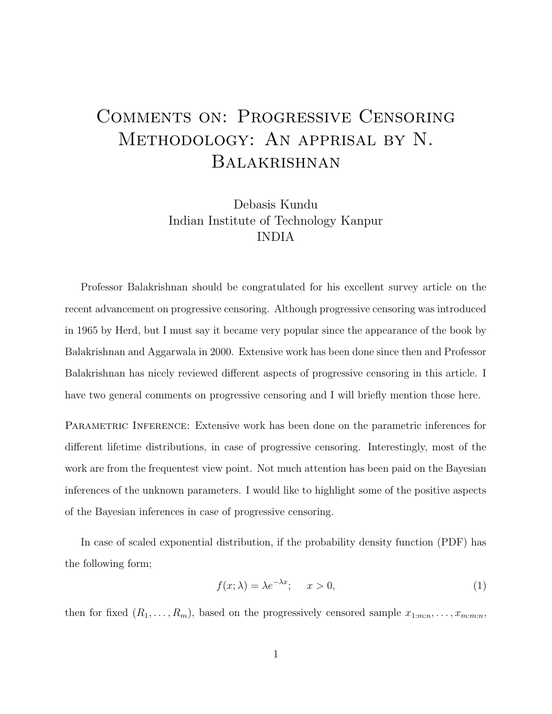## Comments on: Progressive Censoring Methodology: An apprisal by N. Balakrishnan

Debasis Kundu Indian Institute of Technology Kanpur INDIA

Professor Balakrishnan should be congratulated for his excellent survey article on the recent advancement on progressive censoring. Although progressive censoring was introduced in 1965 by Herd, but I must say it became very popular since the appearance of the book by Balakrishnan and Aggarwala in 2000. Extensive work has been done since then and Professor Balakrishnan has nicely reviewed different aspects of progressive censoring in this article. I have two general comments on progressive censoring and I will briefly mention those here.

PARAMETRIC INFERENCE: Extensive work has been done on the parametric inferences for different lifetime distributions, in case of progressive censoring. Interestingly, most of the work are from the frequentest view point. Not much attention has been paid on the Bayesian inferences of the unknown parameters. I would like to highlight some of the positive aspects of the Bayesian inferences in case of progressive censoring.

In case of scaled exponential distribution, if the probability density function (PDF) has the following form;

$$
f(x; \lambda) = \lambda e^{-\lambda x}; \quad x > 0,
$$
\n<sup>(1)</sup>

then for fixed  $(R_1, \ldots, R_m)$ , based on the progressively censored sample  $x_{1:m:n}, \ldots, x_{m:m:n}$ ,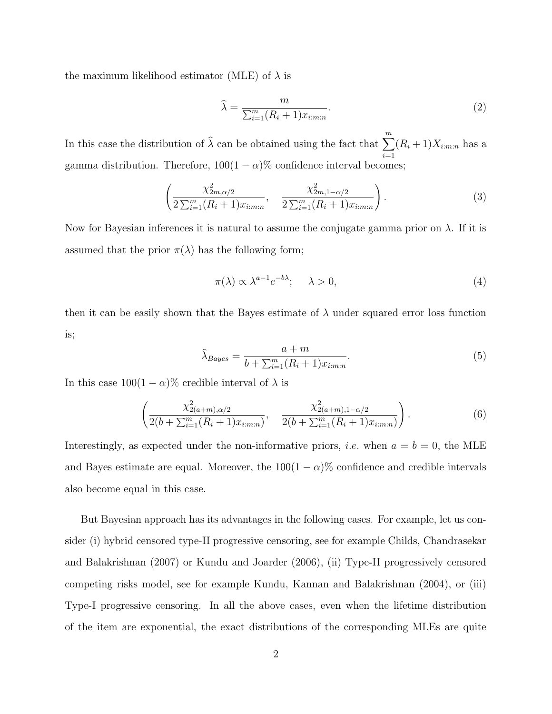the maximum likelihood estimator (MLE) of  $\lambda$  is

$$
\widehat{\lambda} = \frac{m}{\sum_{i=1}^{m} (R_i + 1)x_{i:m:n}}.
$$
\n(2)

In this case the distribution of  $\widehat{\lambda}$  can be obtained using the fact that  $\sum_{m=1}^{m}$  $i=1$  $(R_i+1)X_{i:m:n}$  has a gamma distribution. Therefore,  $100(1 - \alpha)\%$  confidence interval becomes;

$$
\left(\frac{\chi_{2m,\alpha/2}^2}{2\sum_{i=1}^m (R_i+1)x_{i:m:n}}, \quad \frac{\chi_{2m,1-\alpha/2}^2}{2\sum_{i=1}^m (R_i+1)x_{i:m:n}}\right).
$$
\n(3)

Now for Bayesian inferences it is natural to assume the conjugate gamma prior on  $\lambda$ . If it is assumed that the prior  $\pi(\lambda)$  has the following form;

$$
\pi(\lambda) \propto \lambda^{a-1} e^{-b\lambda}; \quad \lambda > 0,
$$
\n<sup>(4)</sup>

then it can be easily shown that the Bayes estimate of  $\lambda$  under squared error loss function is;

$$
\widehat{\lambda}_{Bayes} = \frac{a+m}{b + \sum_{i=1}^{m} (R_i + 1)x_{i:m:n}}.\tag{5}
$$

In this case  $100(1 - \alpha)\%$  credible interval of  $\lambda$  is

$$
\left(\frac{\chi_{2(a+m),\alpha/2}^2}{2(b+\sum_{i=1}^m(R_i+1)x_{i:m:n})}, \frac{\chi_{2(a+m),1-\alpha/2}^2}{2(b+\sum_{i=1}^m(R_i+1)x_{i:m:n})}\right).
$$
(6)

Interestingly, as expected under the non-informative priors, *i.e.* when  $a = b = 0$ , the MLE and Bayes estimate are equal. Moreover, the  $100(1 - \alpha)$ % confidence and credible intervals also become equal in this case.

But Bayesian approach has its advantages in the following cases. For example, let us consider (i) hybrid censored type-II progressive censoring, see for example Childs, Chandrasekar and Balakrishnan (2007) or Kundu and Joarder (2006), (ii) Type-II progressively censored competing risks model, see for example Kundu, Kannan and Balakrishnan (2004), or (iii) Type-I progressive censoring. In all the above cases, even when the lifetime distribution of the item are exponential, the exact distributions of the corresponding MLEs are quite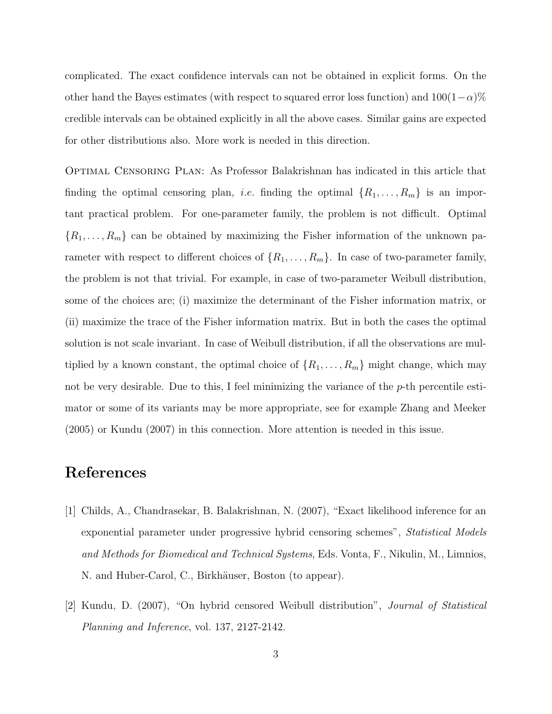complicated. The exact confidence intervals can not be obtained in explicit forms. On the other hand the Bayes estimates (with respect to squared error loss function) and  $100(1-\alpha)\%$ credible intervals can be obtained explicitly in all the above cases. Similar gains are expected for other distributions also. More work is needed in this direction.

Optimal Censoring Plan: As Professor Balakrishnan has indicated in this article that finding the optimal censoring plan, *i.e.* finding the optimal  $\{R_1, \ldots, R_m\}$  is an important practical problem. For one-parameter family, the problem is not difficult. Optimal  ${R_1, \ldots, R_m}$  can be obtained by maximizing the Fisher information of the unknown parameter with respect to different choices of  $\{R_1, \ldots, R_m\}$ . In case of two-parameter family, the problem is not that trivial. For example, in case of two-parameter Weibull distribution, some of the choices are; (i) maximize the determinant of the Fisher information matrix, or (ii) maximize the trace of the Fisher information matrix. But in both the cases the optimal solution is not scale invariant. In case of Weibull distribution, if all the observations are multiplied by a known constant, the optimal choice of  $\{R_1, \ldots, R_m\}$  might change, which may not be very desirable. Due to this, I feel minimizing the variance of the  $p$ -th percentile estimator or some of its variants may be more appropriate, see for example Zhang and Meeker (2005) or Kundu (2007) in this connection. More attention is needed in this issue.

## References

- [1] Childs, A., Chandrasekar, B. Balakrishnan, N. (2007), "Exact likelihood inference for an exponential parameter under progressive hybrid censoring schemes", Statistical Models and Methods for Biomedical and Technical Systems, Eds. Vonta, F., Nikulin, M., Limnios, N. and Huber-Carol, C., Birkhäuser, Boston (to appear).
- [2] Kundu, D. (2007), "On hybrid censored Weibull distribution", Journal of Statistical Planning and Inference, vol. 137, 2127-2142.